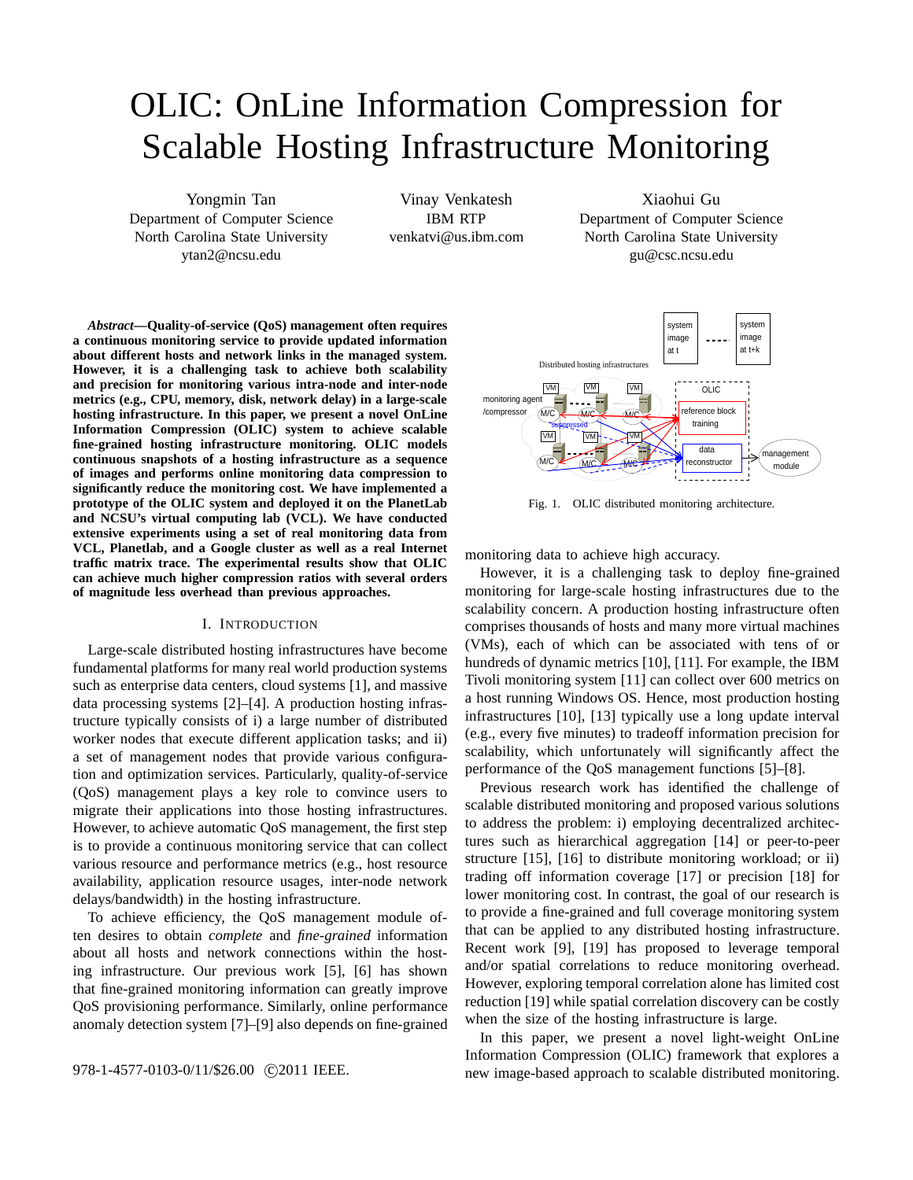# OLIC: OnLine Information Compression for Scalable Hosting Infrastructure Monitoring

Yongmin Tan Department of Computer Science North Carolina State University ytan2@ncsu.edu

Vinay Venkatesh IBM RTP venkatvi@us.ibm.com

Xiaohui Gu Department of Computer Science North Carolina State University gu@csc.ncsu.edu

VM OLIC

system image at t

> data reconstructor

reference block training

> anageme module

system mage at t+k

*Abstract***—Quality-of-service (QoS) management often requires a continuous monitoring service to provide updated information about different hosts and network links in the managed system. However, it is a challenging task to achieve both scalability and precision for monitoring various intra-node and inter-node metrics (e.g., CPU, memory, disk, network delay) in a large-scale hosting infrastructure. In this paper, we present a novel OnLine Information Compression (OLIC) system to achieve scalable fine-grained hosting infrastructure monitoring. OLIC models continuous snapshots of a hosting infrastructure as a sequence of images and performs online monitoring data compression to significantly reduce the monitoring cost. We have implemented a prototype of the OLIC system and deployed it on the PlanetLab and NCSU's virtual computing lab (VCL). We have conducted extensive experiments using a set of real monitoring data from VCL, Planetlab, and a Google cluster as well as a real Internet traffic matrix trace. The experimental results show that OLIC can achieve much higher compression ratios with several orders of magnitude less overhead than previous approaches.**

# I. INTRODUCTION

Large-scale distributed hosting infrastructures have become fundamental platforms for many real world production systems such as enterprise data centers, cloud systems [1], and massive data processing systems [2]–[4]. A production hosting infrastructure typically consists of i) a large number of distributed worker nodes that execute different application tasks; and ii) a set of management nodes that provide various configuration and optimization services. Particularly, quality-of-service (QoS) management plays a key role to convince users to migrate their applications into those hosting infrastructures. However, to achieve automatic QoS management, the first step is to provide a continuous monitoring service that can collect various resource and performance metrics (e.g., host resource availability, application resource usages, inter-node network delays/bandwidth) in the hosting infrastructure.

To achieve efficiency, the QoS management module often desires to obtain *complete* and *fine-grained* information about all hosts and network connections within the hosting infrastructure. Our previous work [5], [6] has shown that fine-grained monitoring information can greatly improve QoS provisioning performance. Similarly, online performance anomaly detection system [7]–[9] also depends on fine-grained

978-1-4577-0103-0/11/\$26.00 © 2011 IEEE.



monitoring data to achieve high accuracy.

 $MC \swarrow 1$ 

Distributed hosting infrastructures

**VM** 

 $V$ M $\sim$   $V$ M

suppressed

VM

M/C

 $/$ compressor  $\overline{M/C}$  M/C

monitoring a

However, it is a challenging task to deploy fine-grained monitoring for large-scale hosting infrastructures due to the scalability concern. A production hosting infrastructure often comprises thousands of hosts and many more virtual machines (VMs), each of which can be associated with tens of or hundreds of dynamic metrics [10], [11]. For example, the IBM Tivoli monitoring system [11] can collect over 600 metrics on a host running Windows OS. Hence, most production hosting infrastructures [10], [13] typically use a long update interval (e.g., every five minutes) to tradeoff information precision for scalability, which unfortunately will significantly affect the performance of the QoS management functions [5]–[8].

Previous research work has identified the challenge of scalable distributed monitoring and proposed various solutions to address the problem: i) employing decentralized architectures such as hierarchical aggregation [14] or peer-to-peer structure [15], [16] to distribute monitoring workload; or ii) trading off information coverage [17] or precision [18] for lower monitoring cost. In contrast, the goal of our research is to provide a fine-grained and full coverage monitoring system that can be applied to any distributed hosting infrastructure. Recent work [9], [19] has proposed to leverage temporal and/or spatial correlations to reduce monitoring overhead. However, exploring temporal correlation alone has limited cost reduction [19] while spatial correlation discovery can be costly when the size of the hosting infrastructure is large.

In this paper, we present a novel light-weight OnLine Information Compression (OLIC) framework that explores a new image-based approach to scalable distributed monitoring.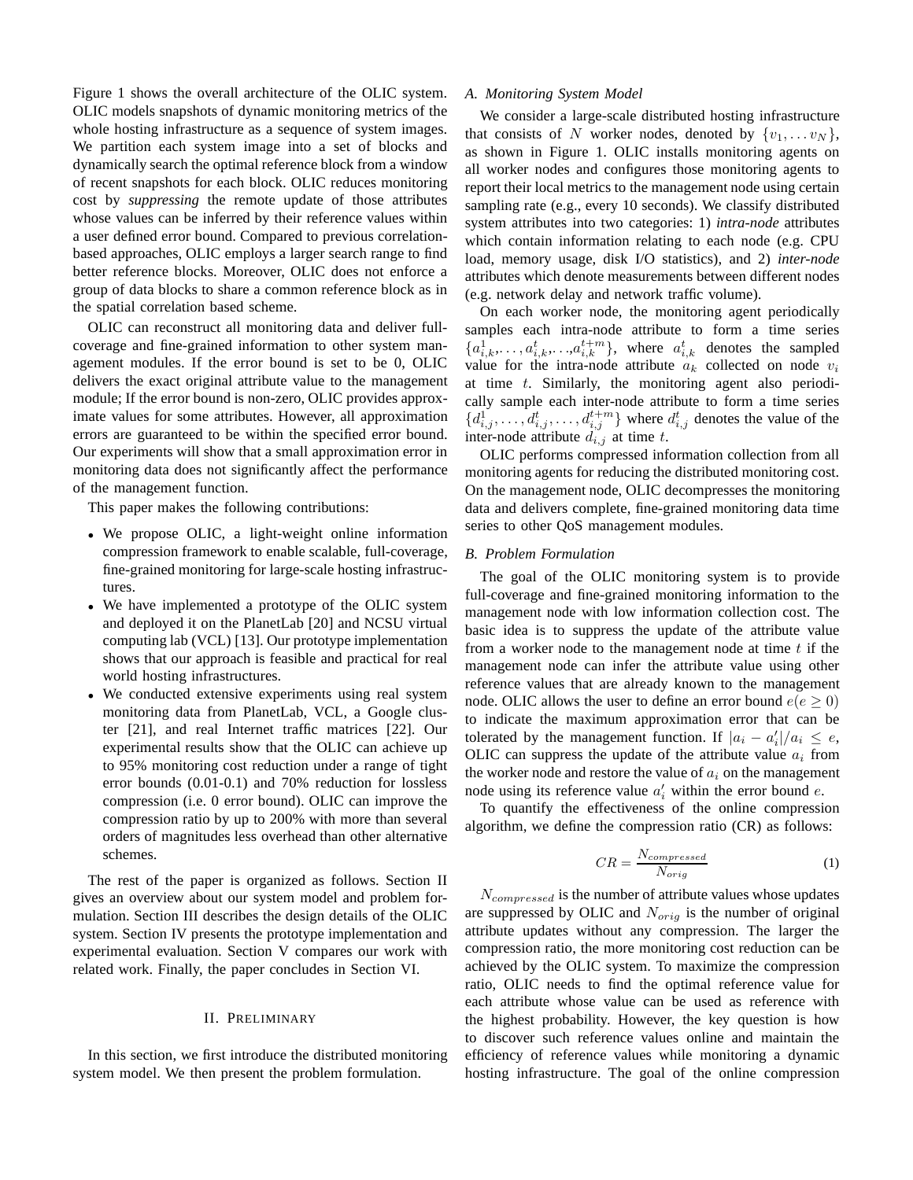Figure 1 shows the overall architecture of the OLIC system. OLIC models snapshots of dynamic monitoring metrics of the whole hosting infrastructure as a sequence of system images. We partition each system image into a set of blocks and dynamically search the optimal reference block from a window of recent snapshots for each block. OLIC reduces monitoring cost by *suppressing* the remote update of those attributes whose values can be inferred by their reference values within a user defined error bound. Compared to previous correlationbased approaches, OLIC employs a larger search range to find better reference blocks. Moreover, OLIC does not enforce a group of data blocks to share a common reference block as in the spatial correlation based scheme.

OLIC can reconstruct all monitoring data and deliver fullcoverage and fine-grained information to other system management modules. If the error bound is set to be 0, OLIC delivers the exact original attribute value to the management module; If the error bound is non-zero, OLIC provides approximate values for some attributes. However, all approximation errors are guaranteed to be within the specified error bound. Our experiments will show that a small approximation error in monitoring data does not significantly affect the performance of the management function.

This paper makes the following contributions:

- We propose OLIC, a light-weight online information compression framework to enable scalable, full-coverage, fine-grained monitoring for large-scale hosting infrastructures.
- We have implemented a prototype of the OLIC system and deployed it on the PlanetLab [20] and NCSU virtual computing lab (VCL) [13]. Our prototype implementation shows that our approach is feasible and practical for real world hosting infrastructures.
- We conducted extensive experiments using real system monitoring data from PlanetLab, VCL, a Google cluster [21], and real Internet traffic matrices [22]. Our experimental results show that the OLIC can achieve up to 95% monitoring cost reduction under a range of tight error bounds (0.01-0.1) and 70% reduction for lossless compression (i.e. 0 error bound). OLIC can improve the compression ratio by up to 200% with more than several orders of magnitudes less overhead than other alternative schemes.

The rest of the paper is organized as follows. Section II gives an overview about our system model and problem formulation. Section III describes the design details of the OLIC system. Section IV presents the prototype implementation and experimental evaluation. Section V compares our work with related work. Finally, the paper concludes in Section VI.

## II. PRELIMINARY

In this section, we first introduce the distributed monitoring system model. We then present the problem formulation.

## *A. Monitoring System Model*

We consider a large-scale distributed hosting infrastructure that consists of N worker nodes, denoted by  $\{v_1, \ldots v_N\},\$ as shown in Figure 1. OLIC installs monitoring agents on all worker nodes and configures those monitoring agents to report their local metrics to the management node using certain sampling rate (e.g., every 10 seconds). We classify distributed system attributes into two categories: 1) *intra-node* attributes which contain information relating to each node (e.g. CPU load, memory usage, disk I/O statistics), and 2) *inter-node* attributes which denote measurements between different nodes (e.g. network delay and network traffic volume).

On each worker node, the monitoring agent periodically samples each intra-node attribute to form a time series  ${a_{i,k}^1, \ldots, a_{i,k}^t, \ldots, a_{i,k}^{t+m}}$ , where  $a_{i,k}^t$  denotes the sampled value for the intra-node attribute  $a_k$  collected on node  $v_i$ at time  $t$ . Similarly, the monitoring agent also periodically sample each inter-node attribute to form a time series  $\{d_{i,j}^1, \ldots, d_{i,j}^t, \ldots, d_{i,j}^{t+m}\}$  where  $d_{i,j}^t$  denotes the value of the inter-node attribute  $d_{i,j}$  at time t.

OLIC performs compressed information collection from all monitoring agents for reducing the distributed monitoring cost. On the management node, OLIC decompresses the monitoring data and delivers complete, fine-grained monitoring data time series to other QoS management modules.

## *B. Problem Formulation*

The goal of the OLIC monitoring system is to provide full-coverage and fine-grained monitoring information to the management node with low information collection cost. The basic idea is to suppress the update of the attribute value from a worker node to the management node at time  $t$  if the management node can infer the attribute value using other reference values that are already known to the management node. OLIC allows the user to define an error bound  $e(e \ge 0)$ to indicate the maximum approximation error that can be tolerated by the management function. If  $|a_i - a'_i|/a_i \leq e$ , OLIC can suppress the update of the attribute value  $a_i$  from the worker node and restore the value of  $a_i$  on the management node using its reference value  $a'_i$  within the error bound e.

To quantify the effectiveness of the online compression algorithm, we define the compression ratio (CR) as follows:

$$
CR = \frac{N_{compressed}}{N_{orig}} \tag{1}
$$

 $N_{compressed}$  is the number of attribute values whose updates are suppressed by OLIC and  $N_{orig}$  is the number of original attribute updates without any compression. The larger the compression ratio, the more monitoring cost reduction can be achieved by the OLIC system. To maximize the compression ratio, OLIC needs to find the optimal reference value for each attribute whose value can be used as reference with the highest probability. However, the key question is how to discover such reference values online and maintain the efficiency of reference values while monitoring a dynamic hosting infrastructure. The goal of the online compression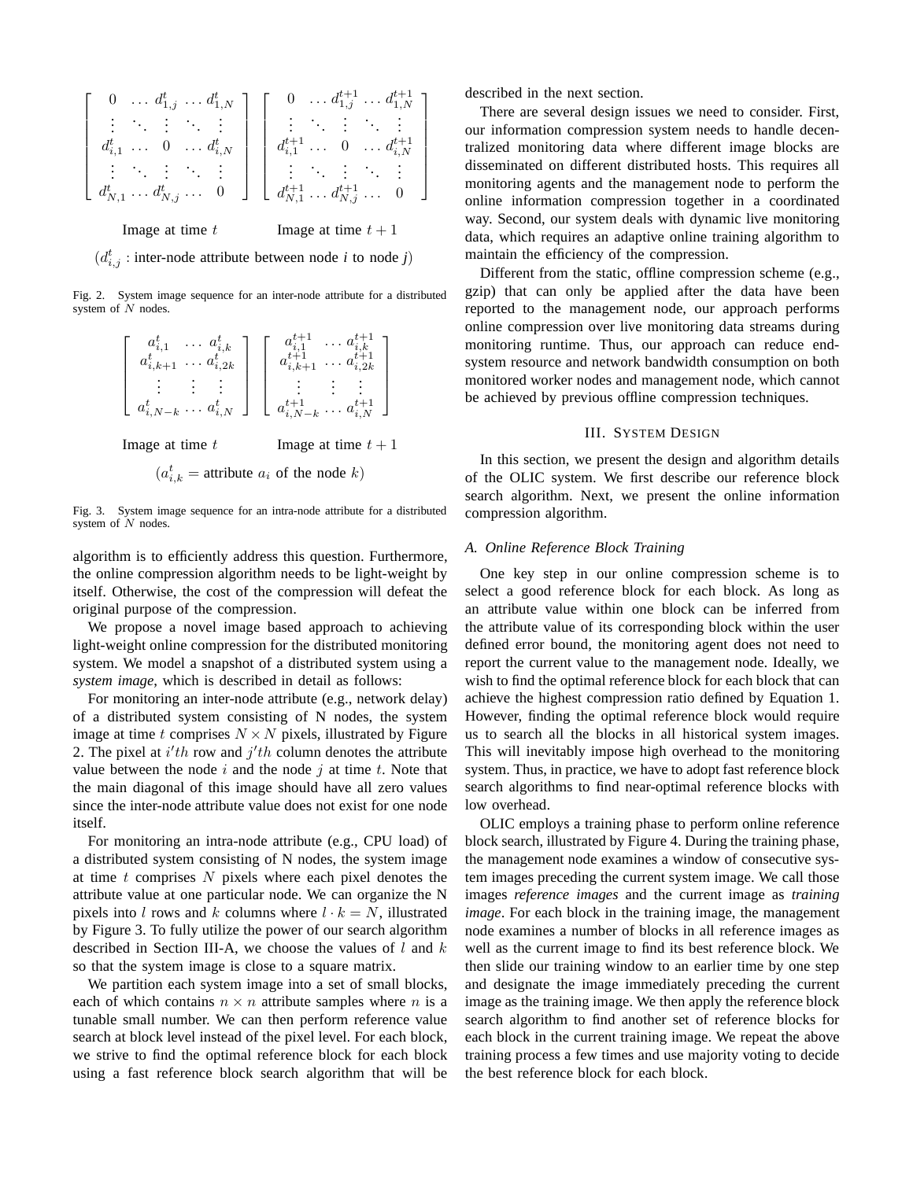$$
\begin{bmatrix}\n0 & \cdots & d_{1,j}^t & \cdots & d_{1,N}^t \\
\vdots & \ddots & \vdots & \ddots & \vdots \\
d_{i,1}^t & \cdots & 0 & \cdots & d_{i,N}^t \\
\vdots & \ddots & \vdots & \ddots & \vdots \\
d_{N,1}^t & \cdots & d_{N,j}^t & \cdots & 0\n\end{bmatrix}\n\begin{bmatrix}\n0 & \cdots & d_{1,j}^{t+1} & \cdots & d_{1,N}^{t+1} \\
\vdots & \ddots & \vdots & \ddots & \vdots \\
d_{i,1}^{t+1} & \cdots & 0 & \cdots & d_{i,N}^{t+1} \\
\vdots & \ddots & \vdots & \ddots & \vdots \\
d_{N,1}^{t+1} & \cdots & d_{N,j}^{t+1} & \cdots & 0\n\end{bmatrix}
$$

Image at time  $t + 1$ 

 $(d_{i,j}^t:$  inter-node attribute between node *i* to node *j*)

Fig. 2. System image sequence for an inter-node attribute for a distributed system of  $N$  nodes.



Fig. 3. System image sequence for an intra-node attribute for a distributed system of  $N$  nodes.

algorithm is to efficiently address this question. Furthermore, the online compression algorithm needs to be light-weight by itself. Otherwise, the cost of the compression will defeat the original purpose of the compression.

We propose a novel image based approach to achieving light-weight online compression for the distributed monitoring system. We model a snapshot of a distributed system using a *system image*, which is described in detail as follows:

For monitoring an inter-node attribute (e.g., network delay) of a distributed system consisting of N nodes, the system image at time t comprises  $N \times N$  pixels, illustrated by Figure 2. The pixel at  $i'th$  row and  $j'th$  column denotes the attribute value between the node  $i$  and the node  $j$  at time  $t$ . Note that the main diagonal of this image should have all zero values since the inter-node attribute value does not exist for one node itself.

For monitoring an intra-node attribute (e.g., CPU load) of a distributed system consisting of N nodes, the system image at time  $t$  comprises  $N$  pixels where each pixel denotes the attribute value at one particular node. We can organize the N pixels into l rows and k columns where  $l \cdot k = N$ , illustrated by Figure 3. To fully utilize the power of our search algorithm described in Section III-A, we choose the values of  $l$  and  $k$ so that the system image is close to a square matrix.

We partition each system image into a set of small blocks, each of which contains  $n \times n$  attribute samples where n is a tunable small number. We can then perform reference value search at block level instead of the pixel level. For each block, we strive to find the optimal reference block for each block using a fast reference block search algorithm that will be described in the next section.

There are several design issues we need to consider. First, our information compression system needs to handle decentralized monitoring data where different image blocks are disseminated on different distributed hosts. This requires all monitoring agents and the management node to perform the online information compression together in a coordinated way. Second, our system deals with dynamic live monitoring data, which requires an adaptive online training algorithm to maintain the efficiency of the compression.

Different from the static, offline compression scheme (e.g., gzip) that can only be applied after the data have been reported to the management node, our approach performs online compression over live monitoring data streams during monitoring runtime. Thus, our approach can reduce endsystem resource and network bandwidth consumption on both monitored worker nodes and management node, which cannot be achieved by previous offline compression techniques.

# III. SYSTEM DESIGN

In this section, we present the design and algorithm details of the OLIC system. We first describe our reference block search algorithm. Next, we present the online information compression algorithm.

# *A. Online Reference Block Training*

One key step in our online compression scheme is to select a good reference block for each block. As long as an attribute value within one block can be inferred from the attribute value of its corresponding block within the user defined error bound, the monitoring agent does not need to report the current value to the management node. Ideally, we wish to find the optimal reference block for each block that can achieve the highest compression ratio defined by Equation 1. However, finding the optimal reference block would require us to search all the blocks in all historical system images. This will inevitably impose high overhead to the monitoring system. Thus, in practice, we have to adopt fast reference block search algorithms to find near-optimal reference blocks with low overhead.

OLIC employs a training phase to perform online reference block search, illustrated by Figure 4. During the training phase, the management node examines a window of consecutive system images preceding the current system image. We call those images *reference images* and the current image as *training image*. For each block in the training image, the management node examines a number of blocks in all reference images as well as the current image to find its best reference block. We then slide our training window to an earlier time by one step and designate the image immediately preceding the current image as the training image. We then apply the reference block search algorithm to find another set of reference blocks for each block in the current training image. We repeat the above training process a few times and use majority voting to decide the best reference block for each block.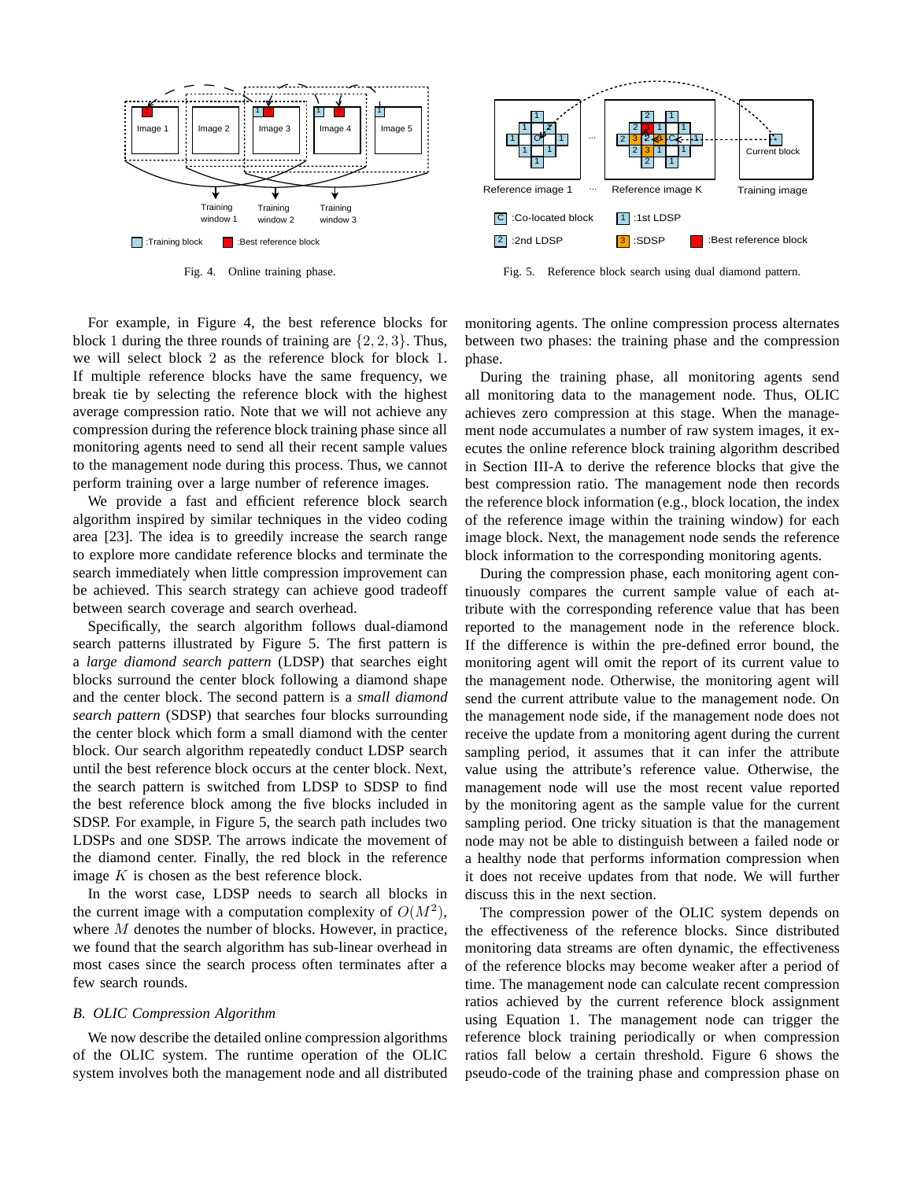

For example, in Figure 4, the best reference blocks for block 1 during the three rounds of training are  $\{2, 2, 3\}$ . Thus, we will select block 2 as the reference block for block 1. If multiple reference blocks have the same frequency, we break tie by selecting the reference block with the highest average compression ratio. Note that we will not achieve any compression during the reference block training phase since all monitoring agents need to send all their recent sample values to the management node during this process. Thus, we cannot perform training over a large number of reference images.

We provide a fast and efficient reference block search algorithm inspired by similar techniques in the video coding area [23]. The idea is to greedily increase the search range to explore more candidate reference blocks and terminate the search immediately when little compression improvement can be achieved. This search strategy can achieve good tradeoff between search coverage and search overhead.

Specifically, the search algorithm follows dual-diamond search patterns illustrated by Figure 5. The first pattern is a *large diamond search pattern* (LDSP) that searches eight blocks surround the center block following a diamond shape and the center block. The second pattern is a *small diamond search pattern* (SDSP) that searches four blocks surrounding the center block which form a small diamond with the center block. Our search algorithm repeatedly conduct LDSP search until the best reference block occurs at the center block. Next, the search pattern is switched from LDSP to SDSP to find the best reference block among the five blocks included in SDSP. For example, in Figure 5, the search path includes two LDSPs and one SDSP. The arrows indicate the movement of the diamond center. Finally, the red block in the reference image  $K$  is chosen as the best reference block.

In the worst case, LDSP needs to search all blocks in the current image with a computation complexity of  $O(M^2)$ , where  $M$  denotes the number of blocks. However, in practice, we found that the search algorithm has sub-linear overhead in most cases since the search process often terminates after a few search rounds.

# *B. OLIC Compression Algorithm*

We now describe the detailed online compression algorithms of the OLIC system. The runtime operation of the OLIC system involves both the management node and all distributed monitoring agents. The online compression process alternates between two phases: the training phase and the compression phase.

During the training phase, all monitoring agents send all monitoring data to the management node. Thus, OLIC achieves zero compression at this stage. When the management node accumulates a number of raw system images, it executes the online reference block training algorithm described in Section III-A to derive the reference blocks that give the best compression ratio. The management node then records the reference block information (e.g., block location, the index of the reference image within the training window) for each image block. Next, the management node sends the reference block information to the corresponding monitoring agents.

During the compression phase, each monitoring agent continuously compares the current sample value of each attribute with the corresponding reference value that has been reported to the management node in the reference block. If the difference is within the pre-defined error bound, the monitoring agent will omit the report of its current value to the management node. Otherwise, the monitoring agent will send the current attribute value to the management node. On the management node side, if the management node does not receive the update from a monitoring agent during the current sampling period, it assumes that it can infer the attribute value using the attribute's reference value. Otherwise, the management node will use the most recent value reported by the monitoring agent as the sample value for the current sampling period. One tricky situation is that the management node may not be able to distinguish between a failed node or a healthy node that performs information compression when it does not receive updates from that node. We will further discuss this in the next section.

The compression power of the OLIC system depends on the effectiveness of the reference blocks. Since distributed monitoring data streams are often dynamic, the effectiveness of the reference blocks may become weaker after a period of time. The management node can calculate recent compression ratios achieved by the current reference block assignment using Equation 1. The management node can trigger the reference block training periodically or when compression ratios fall below a certain threshold. Figure 6 shows the pseudo-code of the training phase and compression phase on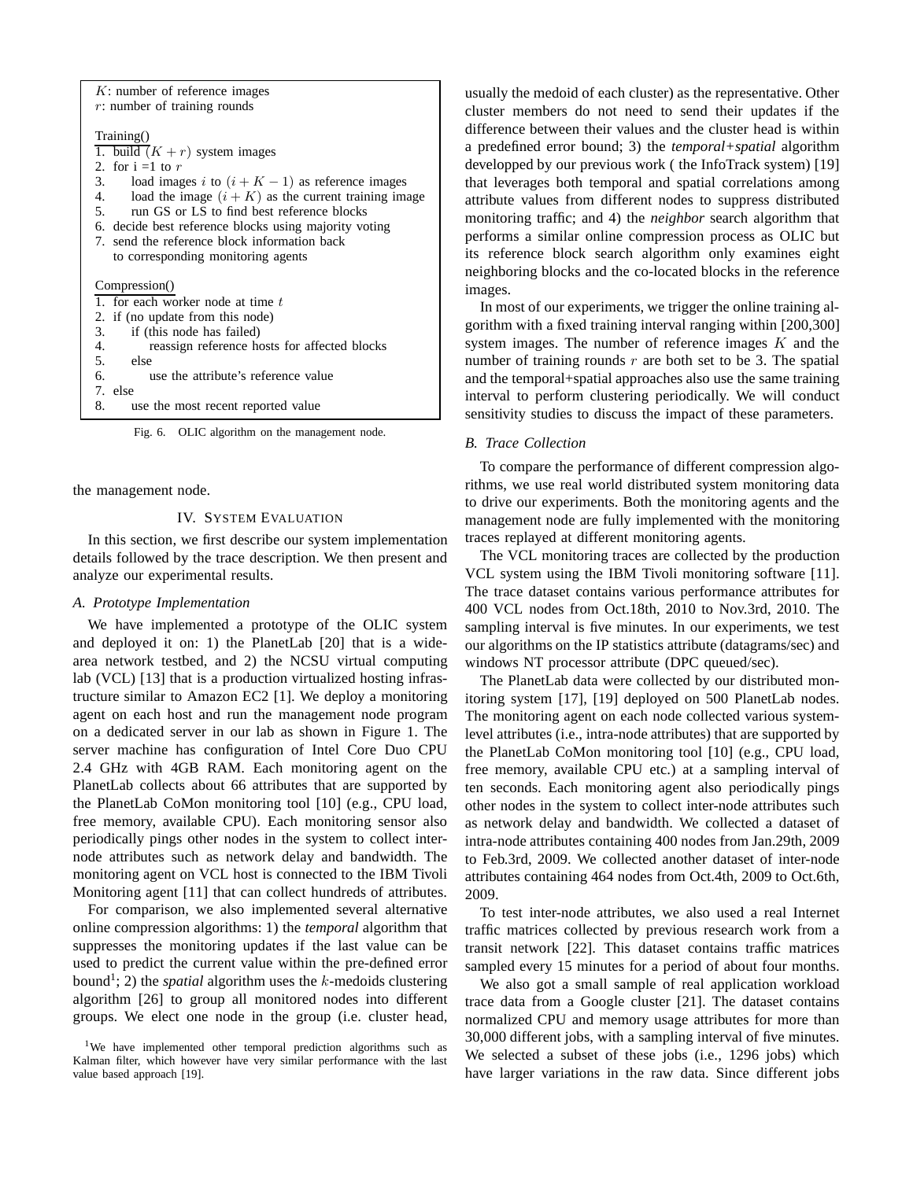

Fig. 6. OLIC algorithm on the management node.

the management node.

## IV. SYSTEM EVALUATION

In this section, we first describe our system implementation details followed by the trace description. We then present and analyze our experimental results.

## *A. Prototype Implementation*

We have implemented a prototype of the OLIC system and deployed it on: 1) the PlanetLab [20] that is a widearea network testbed, and 2) the NCSU virtual computing lab (VCL) [13] that is a production virtualized hosting infrastructure similar to Amazon EC2 [1]. We deploy a monitoring agent on each host and run the management node program on a dedicated server in our lab as shown in Figure 1. The server machine has configuration of Intel Core Duo CPU 2.4 GHz with 4GB RAM. Each monitoring agent on the PlanetLab collects about 66 attributes that are supported by the PlanetLab CoMon monitoring tool [10] (e.g., CPU load, free memory, available CPU). Each monitoring sensor also periodically pings other nodes in the system to collect internode attributes such as network delay and bandwidth. The monitoring agent on VCL host is connected to the IBM Tivoli Monitoring agent [11] that can collect hundreds of attributes.

For comparison, we also implemented several alternative online compression algorithms: 1) the *temporal* algorithm that suppresses the monitoring updates if the last value can be used to predict the current value within the pre-defined error bound<sup>1</sup>; 2) the *spatial* algorithm uses the k-medoids clustering algorithm [26] to group all monitored nodes into different groups. We elect one node in the group (i.e. cluster head,

usually the medoid of each cluster) as the representative. Other cluster members do not need to send their updates if the difference between their values and the cluster head is within a predefined error bound; 3) the *temporal+spatial* algorithm developped by our previous work ( the InfoTrack system) [19] that leverages both temporal and spatial correlations among attribute values from different nodes to suppress distributed monitoring traffic; and 4) the *neighbor* search algorithm that performs a similar online compression process as OLIC but its reference block search algorithm only examines eight neighboring blocks and the co-located blocks in the reference images.

In most of our experiments, we trigger the online training algorithm with a fixed training interval ranging within [200,300] system images. The number of reference images  $K$  and the number of training rounds  $r$  are both set to be 3. The spatial and the temporal+spatial approaches also use the same training interval to perform clustering periodically. We will conduct sensitivity studies to discuss the impact of these parameters.

## *B. Trace Collection*

To compare the performance of different compression algorithms, we use real world distributed system monitoring data to drive our experiments. Both the monitoring agents and the management node are fully implemented with the monitoring traces replayed at different monitoring agents.

The VCL monitoring traces are collected by the production VCL system using the IBM Tivoli monitoring software [11]. The trace dataset contains various performance attributes for 400 VCL nodes from Oct.18th, 2010 to Nov.3rd, 2010. The sampling interval is five minutes. In our experiments, we test our algorithms on the IP statistics attribute (datagrams/sec) and windows NT processor attribute (DPC queued/sec).

The PlanetLab data were collected by our distributed monitoring system [17], [19] deployed on 500 PlanetLab nodes. The monitoring agent on each node collected various systemlevel attributes (i.e., intra-node attributes) that are supported by the PlanetLab CoMon monitoring tool [10] (e.g., CPU load, free memory, available CPU etc.) at a sampling interval of ten seconds. Each monitoring agent also periodically pings other nodes in the system to collect inter-node attributes such as network delay and bandwidth. We collected a dataset of intra-node attributes containing 400 nodes from Jan.29th, 2009 to Feb.3rd, 2009. We collected another dataset of inter-node attributes containing 464 nodes from Oct.4th, 2009 to Oct.6th, 2009.

To test inter-node attributes, we also used a real Internet traffic matrices collected by previous research work from a transit network [22]. This dataset contains traffic matrices sampled every 15 minutes for a period of about four months.

We also got a small sample of real application workload trace data from a Google cluster [21]. The dataset contains normalized CPU and memory usage attributes for more than 30,000 different jobs, with a sampling interval of five minutes. We selected a subset of these jobs (i.e., 1296 jobs) which have larger variations in the raw data. Since different jobs

<sup>&</sup>lt;sup>1</sup>We have implemented other temporal prediction algorithms such as Kalman filter, which however have very similar performance with the last value based approach [19].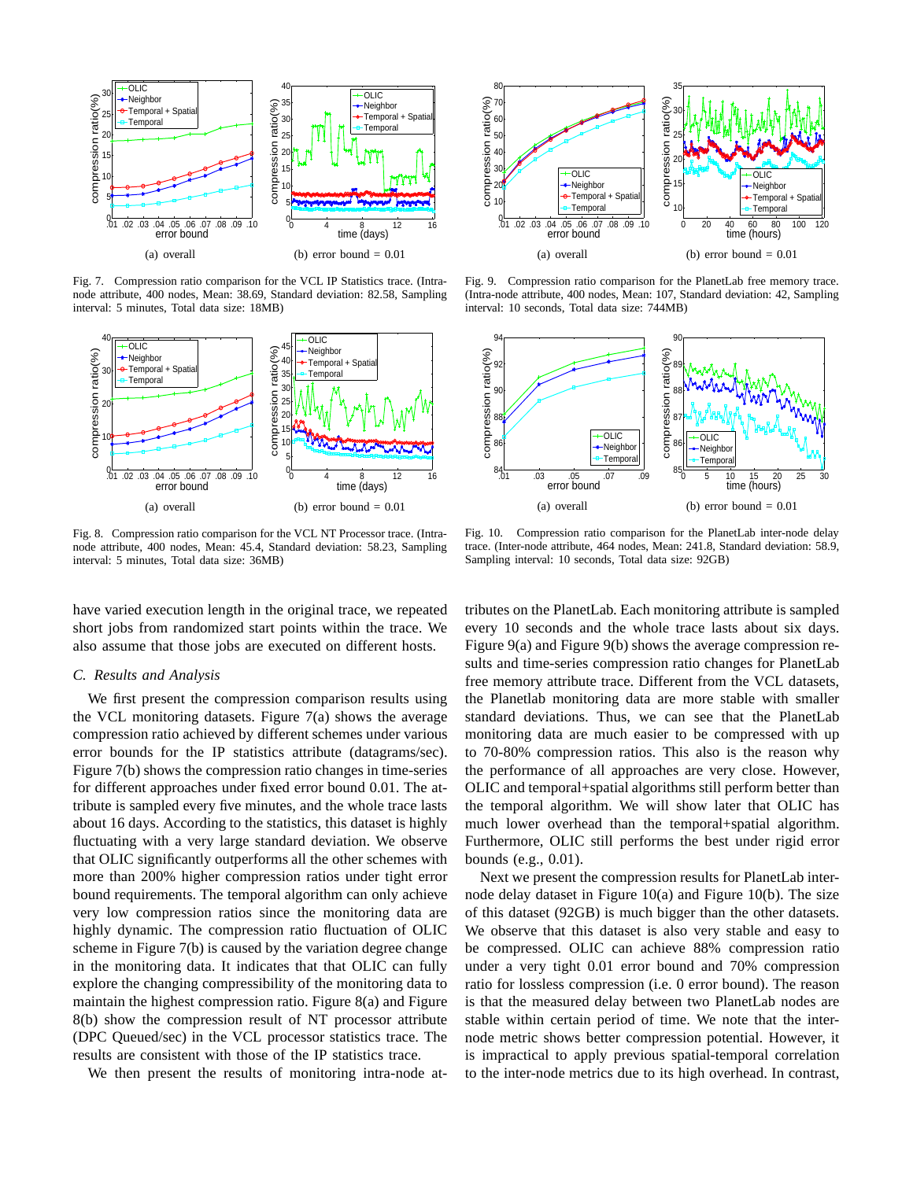

Fig. 7. Compression ratio comparison for the VCL IP Statistics trace. (Intranode attribute, 400 nodes, Mean: 38.69, Standard deviation: 82.58, Sampling interval: 5 minutes, Total data size: 18MB)



Fig. 8. Compression ratio comparison for the VCL NT Processor trace. (Intranode attribute, 400 nodes, Mean: 45.4, Standard deviation: 58.23, Sampling interval: 5 minutes, Total data size: 36MB)

have varied execution length in the original trace, we repeated short jobs from randomized start points within the trace. We also assume that those jobs are executed on different hosts.

## *C. Results and Analysis*

We first present the compression comparison results using the VCL monitoring datasets. Figure 7(a) shows the average compression ratio achieved by different schemes under various error bounds for the IP statistics attribute (datagrams/sec). Figure 7(b) shows the compression ratio changes in time-series for different approaches under fixed error bound 0.01. The attribute is sampled every five minutes, and the whole trace lasts about 16 days. According to the statistics, this dataset is highly fluctuating with a very large standard deviation. We observe that OLIC significantly outperforms all the other schemes with more than 200% higher compression ratios under tight error bound requirements. The temporal algorithm can only achieve very low compression ratios since the monitoring data are highly dynamic. The compression ratio fluctuation of OLIC scheme in Figure 7(b) is caused by the variation degree change in the monitoring data. It indicates that that OLIC can fully explore the changing compressibility of the monitoring data to maintain the highest compression ratio. Figure 8(a) and Figure 8(b) show the compression result of NT processor attribute (DPC Queued/sec) in the VCL processor statistics trace. The results are consistent with those of the IP statistics trace.

We then present the results of monitoring intra-node at-



Fig. 9. Compression ratio comparison for the PlanetLab free memory trace. (Intra-node attribute, 400 nodes, Mean: 107, Standard deviation: 42, Sampling interval: 10 seconds, Total data size: 744MB)



Fig. 10. Compression ratio comparison for the PlanetLab inter-node delay trace. (Inter-node attribute, 464 nodes, Mean: 241.8, Standard deviation: 58.9, Sampling interval: 10 seconds, Total data size: 92GB)

tributes on the PlanetLab. Each monitoring attribute is sampled every 10 seconds and the whole trace lasts about six days. Figure 9(a) and Figure 9(b) shows the average compression results and time-series compression ratio changes for PlanetLab free memory attribute trace. Different from the VCL datasets, the Planetlab monitoring data are more stable with smaller standard deviations. Thus, we can see that the PlanetLab monitoring data are much easier to be compressed with up to 70-80% compression ratios. This also is the reason why the performance of all approaches are very close. However, OLIC and temporal+spatial algorithms still perform better than the temporal algorithm. We will show later that OLIC has much lower overhead than the temporal+spatial algorithm. Furthermore, OLIC still performs the best under rigid error bounds (e.g., 0.01).

Next we present the compression results for PlanetLab internode delay dataset in Figure 10(a) and Figure 10(b). The size of this dataset (92GB) is much bigger than the other datasets. We observe that this dataset is also very stable and easy to be compressed. OLIC can achieve 88% compression ratio under a very tight 0.01 error bound and 70% compression ratio for lossless compression (i.e. 0 error bound). The reason is that the measured delay between two PlanetLab nodes are stable within certain period of time. We note that the internode metric shows better compression potential. However, it is impractical to apply previous spatial-temporal correlation to the inter-node metrics due to its high overhead. In contrast,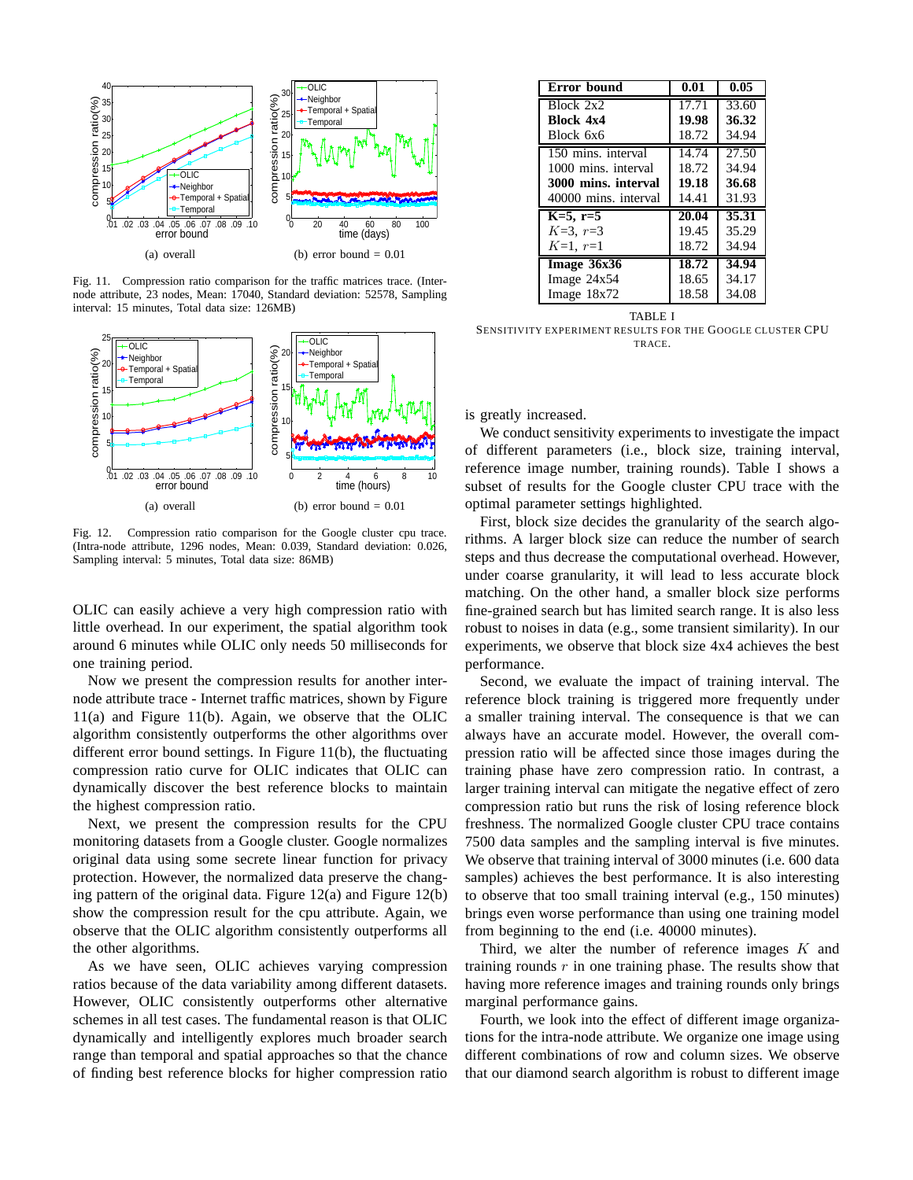

Fig. 11. Compression ratio comparison for the traffic matrices trace. (Internode attribute, 23 nodes, Mean: 17040, Standard deviation: 52578, Sampling interval: 15 minutes, Total data size: 126MB)



Fig. 12. Compression ratio comparison for the Google cluster cpu trace. (Intra-node attribute, 1296 nodes, Mean: 0.039, Standard deviation: 0.026, Sampling interval: 5 minutes, Total data size: 86MB)

OLIC can easily achieve a very high compression ratio with little overhead. In our experiment, the spatial algorithm took around 6 minutes while OLIC only needs 50 milliseconds for one training period.

Now we present the compression results for another internode attribute trace - Internet traffic matrices, shown by Figure 11(a) and Figure 11(b). Again, we observe that the OLIC algorithm consistently outperforms the other algorithms over different error bound settings. In Figure 11(b), the fluctuating compression ratio curve for OLIC indicates that OLIC can dynamically discover the best reference blocks to maintain the highest compression ratio.

Next, we present the compression results for the CPU monitoring datasets from a Google cluster. Google normalizes original data using some secrete linear function for privacy protection. However, the normalized data preserve the changing pattern of the original data. Figure 12(a) and Figure 12(b) show the compression result for the cpu attribute. Again, we observe that the OLIC algorithm consistently outperforms all the other algorithms.

As we have seen, OLIC achieves varying compression ratios because of the data variability among different datasets. However, OLIC consistently outperforms other alternative schemes in all test cases. The fundamental reason is that OLIC dynamically and intelligently explores much broader search range than temporal and spatial approaches so that the chance of finding best reference blocks for higher compression ratio

| Error bound          | 0.01  | 0.05               |
|----------------------|-------|--------------------|
| Block $2x2$          | 17.71 | 33.60              |
| Block 4x4            | 19.98 | 36.32              |
| Block 6x6            | 18.72 | 34.94              |
| 150 mins. interval   | 14.74 | 27.50              |
| 1000 mins. interval  | 18.72 | 34.94              |
| 3000 mins. interval  | 19.18 | 36.68              |
| 40000 mins. interval | 14.41 | 31.93              |
| $K=5$ , r=5          | 20.04 | $35.\overline{31}$ |
| $K=3, r=3$           | 19.45 | 35.29              |
| $K=1, r=1$           | 18.72 | 34.94              |
| Image 36x36          | 18.72 | 34.94              |
| Image $24x54$        | 18.65 | 34.17              |
| Image $18x72$        | 18.58 | 34.08              |

TABLE I SENSITIVITY EXPERIMENT RESULTS FOR THE GOOGLE CLUSTER CPU TRACE.

is greatly increased.

We conduct sensitivity experiments to investigate the impact of different parameters (i.e., block size, training interval, reference image number, training rounds). Table I shows a subset of results for the Google cluster CPU trace with the optimal parameter settings highlighted.

First, block size decides the granularity of the search algorithms. A larger block size can reduce the number of search steps and thus decrease the computational overhead. However, under coarse granularity, it will lead to less accurate block matching. On the other hand, a smaller block size performs fine-grained search but has limited search range. It is also less robust to noises in data (e.g., some transient similarity). In our experiments, we observe that block size 4x4 achieves the best performance.

Second, we evaluate the impact of training interval. The reference block training is triggered more frequently under a smaller training interval. The consequence is that we can always have an accurate model. However, the overall compression ratio will be affected since those images during the training phase have zero compression ratio. In contrast, a larger training interval can mitigate the negative effect of zero compression ratio but runs the risk of losing reference block freshness. The normalized Google cluster CPU trace contains 7500 data samples and the sampling interval is five minutes. We observe that training interval of 3000 minutes (i.e. 600 data samples) achieves the best performance. It is also interesting to observe that too small training interval (e.g., 150 minutes) brings even worse performance than using one training model from beginning to the end (i.e. 40000 minutes).

Third, we alter the number of reference images  $K$  and training rounds  $r$  in one training phase. The results show that having more reference images and training rounds only brings marginal performance gains.

Fourth, we look into the effect of different image organizations for the intra-node attribute. We organize one image using different combinations of row and column sizes. We observe that our diamond search algorithm is robust to different image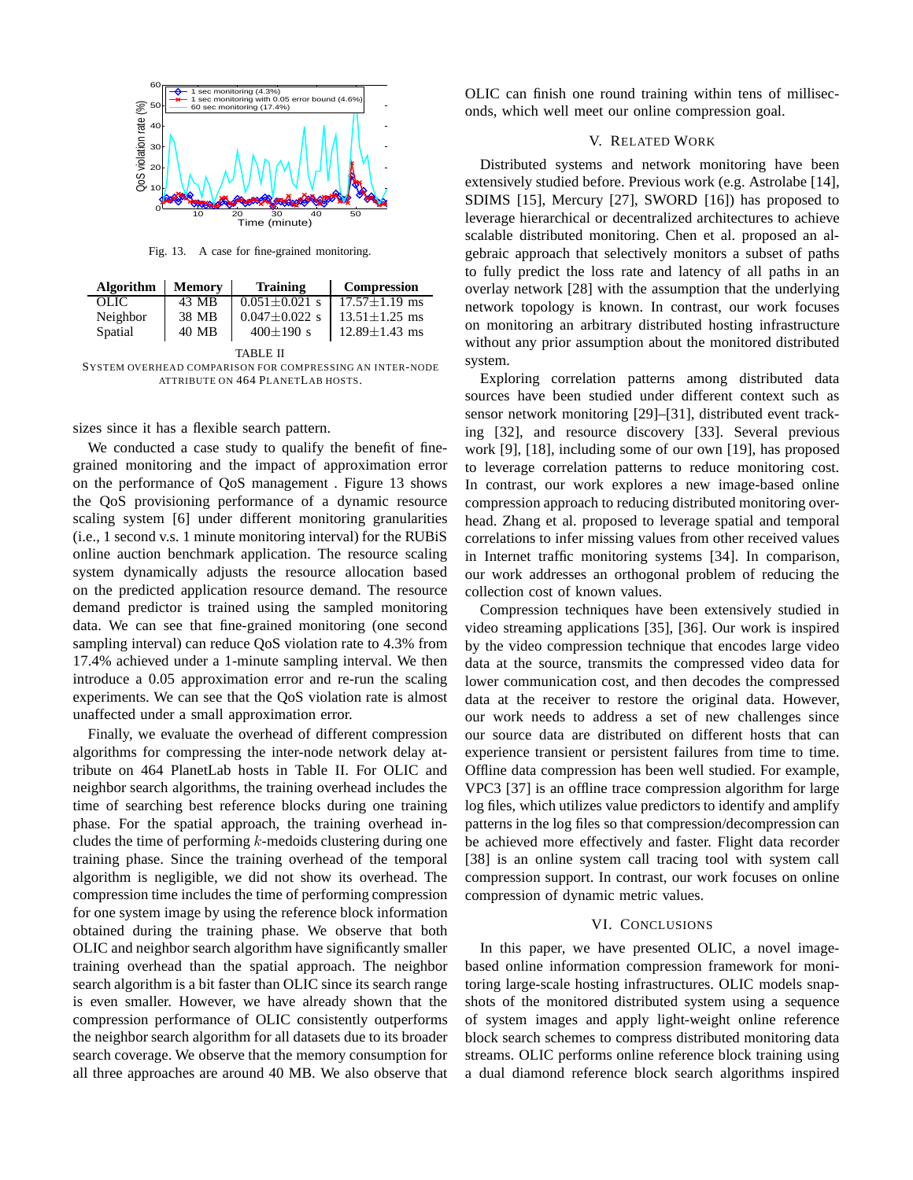

Fig. 13. A case for fine-grained monitoring.

| <b>Algorithm</b> | <b>Memory</b> | Training            | <b>Compression</b>  |
|------------------|---------------|---------------------|---------------------|
| OL IC.           | 43 MB         | $0.051 \pm 0.021$ s | $17.57 \pm 1.19$ ms |
| Neighbor         | 38 MB         | $0.047 \pm 0.022$ s | $13.51 \pm 1.25$ ms |
| Spatial          | 40 MB         | $400\pm190$ s       | $12.89 \pm 1.43$ ms |
|                  |               |                     |                     |

TABLE II SYSTEM OVERHEAD COMPARISON FOR COMPRESSING AN INTER-NODE ATTRIBUTE ON 464 PLANETLAB HOSTS.

sizes since it has a flexible search pattern.

We conducted a case study to qualify the benefit of finegrained monitoring and the impact of approximation error on the performance of QoS management . Figure 13 shows the QoS provisioning performance of a dynamic resource scaling system [6] under different monitoring granularities (i.e., 1 second v.s. 1 minute monitoring interval) for the RUBiS online auction benchmark application. The resource scaling system dynamically adjusts the resource allocation based on the predicted application resource demand. The resource demand predictor is trained using the sampled monitoring data. We can see that fine-grained monitoring (one second sampling interval) can reduce QoS violation rate to 4.3% from 17.4% achieved under a 1-minute sampling interval. We then introduce a 0.05 approximation error and re-run the scaling experiments. We can see that the QoS violation rate is almost unaffected under a small approximation error.

Finally, we evaluate the overhead of different compression algorithms for compressing the inter-node network delay attribute on 464 PlanetLab hosts in Table II. For OLIC and neighbor search algorithms, the training overhead includes the time of searching best reference blocks during one training phase. For the spatial approach, the training overhead includes the time of performing  $k$ -medoids clustering during one training phase. Since the training overhead of the temporal algorithm is negligible, we did not show its overhead. The compression time includes the time of performing compression for one system image by using the reference block information obtained during the training phase. We observe that both OLIC and neighbor search algorithm have significantly smaller training overhead than the spatial approach. The neighbor search algorithm is a bit faster than OLIC since its search range is even smaller. However, we have already shown that the compression performance of OLIC consistently outperforms the neighbor search algorithm for all datasets due to its broader search coverage. We observe that the memory consumption for all three approaches are around 40 MB. We also observe that

OLIC can finish one round training within tens of milliseconds, which well meet our online compression goal.

# V. RELATED WORK

Distributed systems and network monitoring have been extensively studied before. Previous work (e.g. Astrolabe [14], SDIMS [15], Mercury [27], SWORD [16]) has proposed to leverage hierarchical or decentralized architectures to achieve scalable distributed monitoring. Chen et al. proposed an algebraic approach that selectively monitors a subset of paths to fully predict the loss rate and latency of all paths in an overlay network [28] with the assumption that the underlying network topology is known. In contrast, our work focuses on monitoring an arbitrary distributed hosting infrastructure without any prior assumption about the monitored distributed system.

Exploring correlation patterns among distributed data sources have been studied under different context such as sensor network monitoring [29]–[31], distributed event tracking [32], and resource discovery [33]. Several previous work [9], [18], including some of our own [19], has proposed to leverage correlation patterns to reduce monitoring cost. In contrast, our work explores a new image-based online compression approach to reducing distributed monitoring overhead. Zhang et al. proposed to leverage spatial and temporal correlations to infer missing values from other received values in Internet traffic monitoring systems [34]. In comparison, our work addresses an orthogonal problem of reducing the collection cost of known values.

Compression techniques have been extensively studied in video streaming applications [35], [36]. Our work is inspired by the video compression technique that encodes large video data at the source, transmits the compressed video data for lower communication cost, and then decodes the compressed data at the receiver to restore the original data. However, our work needs to address a set of new challenges since our source data are distributed on different hosts that can experience transient or persistent failures from time to time. Offline data compression has been well studied. For example, VPC3 [37] is an offline trace compression algorithm for large log files, which utilizes value predictors to identify and amplify patterns in the log files so that compression/decompression can be achieved more effectively and faster. Flight data recorder [38] is an online system call tracing tool with system call compression support. In contrast, our work focuses on online compression of dynamic metric values.

# VI. CONCLUSIONS

In this paper, we have presented OLIC, a novel imagebased online information compression framework for monitoring large-scale hosting infrastructures. OLIC models snapshots of the monitored distributed system using a sequence of system images and apply light-weight online reference block search schemes to compress distributed monitoring data streams. OLIC performs online reference block training using a dual diamond reference block search algorithms inspired